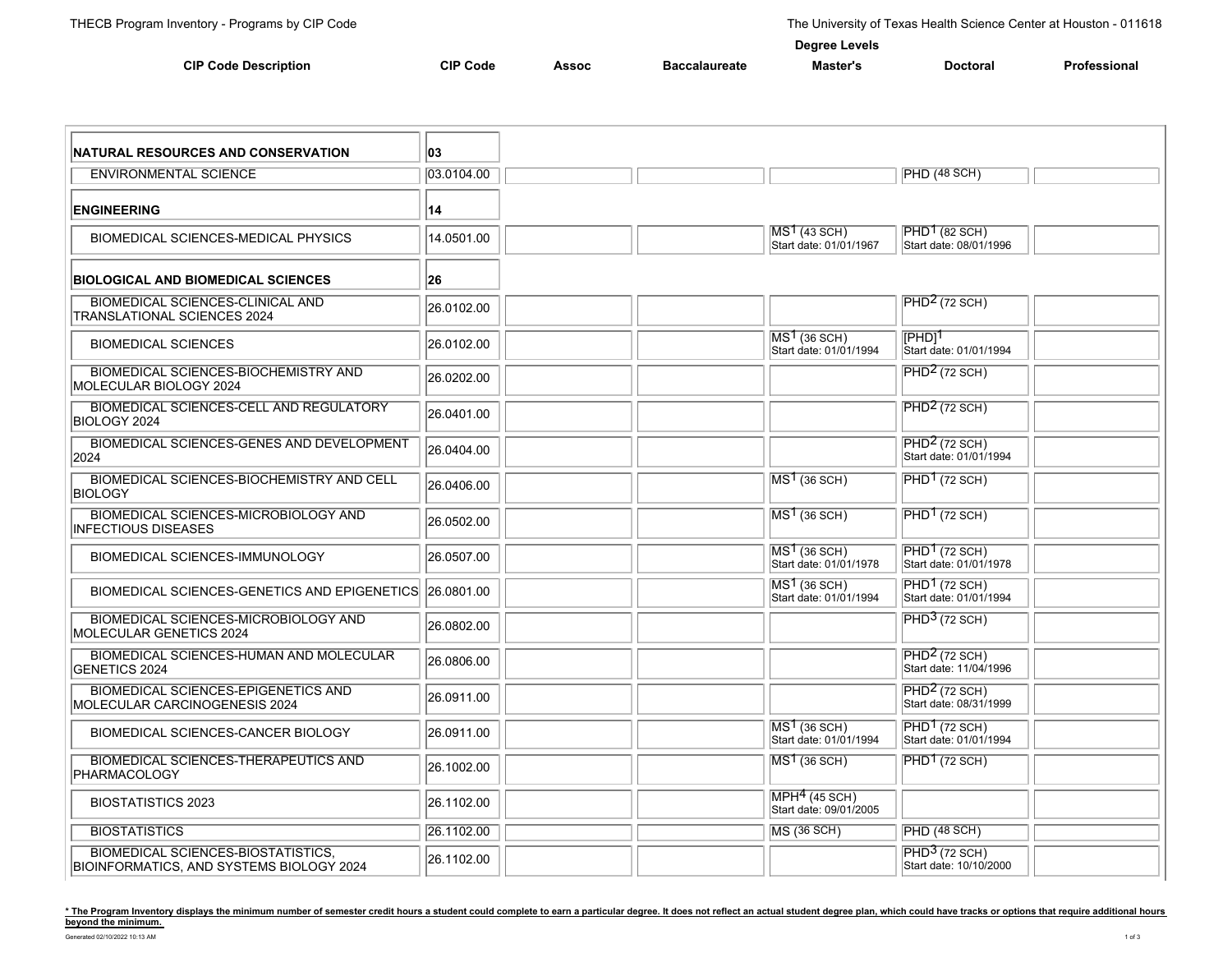**Degree Levels**

|                             |                 | - - - - - - - - - - - |               |          |                 |              |  |  |  |
|-----------------------------|-----------------|-----------------------|---------------|----------|-----------------|--------------|--|--|--|
| <b>CIP Code Description</b> | <b>CIP Code</b> | Assoc                 | Baccalaureate | Master': | <b>Doctoral</b> | Professional |  |  |  |

| <b>INATURAL RESOURCES AND CONSERVATION</b>                                            | 03         |  |                                                    |                                                     |  |
|---------------------------------------------------------------------------------------|------------|--|----------------------------------------------------|-----------------------------------------------------|--|
| <b>ENVIRONMENTAL SCIENCE</b>                                                          | 03.0104.00 |  |                                                    | PHD (48 SCH)                                        |  |
| <b>ENGINEERING</b>                                                                    | 14         |  |                                                    |                                                     |  |
| <b>BIOMEDICAL SCIENCES-MEDICAL PHYSICS</b>                                            | 14.0501.00 |  | MS <sup>1</sup> (43 SCH)<br>Start date: 01/01/1967 | $PHD1$ (82 SCH)<br>Start date: 08/01/1996           |  |
| <b>BIOLOGICAL AND BIOMEDICAL SCIENCES</b>                                             | 26         |  |                                                    |                                                     |  |
| <b>BIOMEDICAL SCIENCES-CLINICAL AND</b><br><b>TRANSLATIONAL SCIENCES 2024</b>         | 26.0102.00 |  |                                                    | $PHD2$ (72 SCH)                                     |  |
| <b>BIOMEDICAL SCIENCES</b>                                                            | 26.0102.00 |  | $MS1$ (36 SCH)<br>Start date: 01/01/1994           | $[PHD]^\intercal$<br>Start date: 01/01/1994         |  |
| <b>BIOMEDICAL SCIENCES-BIOCHEMISTRY AND</b><br>MOLECULAR BIOLOGY 2024                 | 26.0202.00 |  |                                                    | $PHD2$ (72 SCH)                                     |  |
| <b>BIOMEDICAL SCIENCES-CELL AND REGULATORY</b><br>BIOLOGY 2024                        | 26.0401.00 |  |                                                    | PHD <sup>2</sup> (72 SCH)                           |  |
| <b>BIOMEDICAL SCIENCES-GENES AND DEVELOPMENT</b><br>2024                              | 26.0404.00 |  |                                                    | $PHD2$ (72 SCH)<br>Start date: 01/01/1994           |  |
| <b>BIOMEDICAL SCIENCES-BIOCHEMISTRY AND CELL</b><br><b>BIOLOGY</b>                    | 26.0406.00 |  | $MS1$ (36 SCH)                                     | $PHD1$ (72 SCH)                                     |  |
| <b>BIOMEDICAL SCIENCES-MICROBIOLOGY AND</b><br><b>INFECTIOUS DISEASES</b>             | 26.0502.00 |  | $MS1$ (36 SCH)                                     | $PHD1$ (72 SCH)                                     |  |
| BIOMEDICAL SCIENCES-IMMUNOLOGY                                                        | 26.0507.00 |  | $MS1$ (36 SCH)<br>Start date: 01/01/1978           | PHD <sup>1</sup> (72 SCH)<br>Start date: 01/01/1978 |  |
| BIOMEDICAL SCIENCES-GENETICS AND EPIGENETICS                                          | 26.0801.00 |  | $MS1$ (36 SCH)<br>Start date: 01/01/1994           | $PHD1$ (72 SCH)<br>Start date: 01/01/1994           |  |
| <b>BIOMEDICAL SCIENCES-MICROBIOLOGY AND</b><br>MOLECULAR GENETICS 2024                | 26.0802.00 |  |                                                    | $\overline{\mathrm{PHD}^3}$ (72 SCH)                |  |
| <b>BIOMEDICAL SCIENCES-HUMAN AND MOLECULAR</b><br>GENETICS 2024                       | 26.0806.00 |  |                                                    | PHD <sup>2</sup> (72 SCH)<br>Start date: 11/04/1996 |  |
| <b>BIOMEDICAL SCIENCES-EPIGENETICS AND</b><br>MOLECULAR CARCINOGENESIS 2024           | 26.0911.00 |  |                                                    | $PHD2$ (72 SCH)<br>Start date: 08/31/1999           |  |
| <b>BIOMEDICAL SCIENCES-CANCER BIOLOGY</b>                                             | 26.0911.00 |  | $MS1$ (36 SCH)<br>Start date: 01/01/1994           | $PHD1$ (72 SCH)<br>Start date: 01/01/1994           |  |
| <b>BIOMEDICAL SCIENCES-THERAPEUTICS AND</b><br>PHARMACOLOGY                           | 26.1002.00 |  | $MS1$ (36 SCH)                                     | $PHD1$ (72 SCH)                                     |  |
| <b>BIOSTATISTICS 2023</b>                                                             | 26.1102.00 |  | $MPH4$ (45 SCH)<br>Start date: 09/01/2005          |                                                     |  |
| <b>BIOSTATISTICS</b>                                                                  | 26.1102.00 |  | MS (36 SCH)                                        | PHD(48 SCH)                                         |  |
| <b>BIOMEDICAL SCIENCES-BIOSTATISTICS,</b><br>BIOINFORMATICS, AND SYSTEMS BIOLOGY 2024 | 26.1102.00 |  |                                                    | $PHD3$ (72 SCH)<br>Start date: 10/10/2000           |  |

\* The Program Inventory displays the minimum number of semester credit hours a student could complete to earn a particular degree. It does not reflect an actual student degree plan, which could have tracks or options that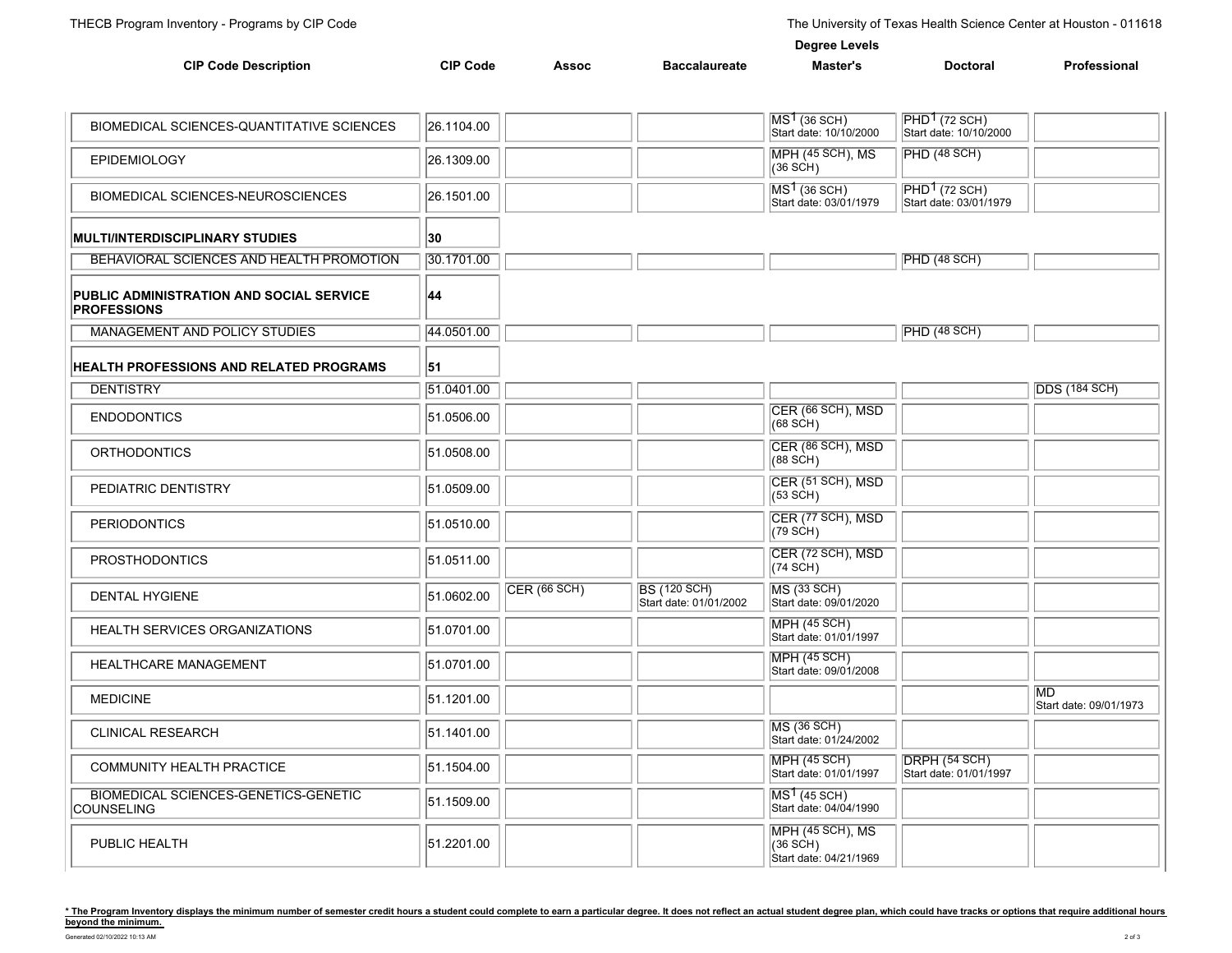| <b>CIP Code Description</b>                                    | <b>CIP Code</b> | <b>Assoc</b> | <b>Baccalaureate</b>                          | Master's                                                | <b>Doctoral</b>                           | Professional                         |
|----------------------------------------------------------------|-----------------|--------------|-----------------------------------------------|---------------------------------------------------------|-------------------------------------------|--------------------------------------|
|                                                                |                 |              |                                               |                                                         |                                           |                                      |
| BIOMEDICAL SCIENCES-QUANTITATIVE SCIENCES                      | 26.1104.00      |              |                                               | $\sqrt{MS^1(36 \text{ SCH})}$<br>Start date: 10/10/2000 | $PHD1$ (72 SCH)<br>Start date: 10/10/2000 |                                      |
| EPIDEMIOLOGY                                                   | 26.1309.00      |              |                                               | MPH (45 SCH), MS<br>(36 SCH)                            | PHD(48 SCH)                               |                                      |
| BIOMEDICAL SCIENCES-NEUROSCIENCES                              | 26.1501.00      |              |                                               | $MS1$ (36 SCH)<br>Start date: 03/01/1979                | $PHD1$ (72 SCH)<br>Start date: 03/01/1979 |                                      |
| <b>MULTI/INTERDISCIPLINARY STUDIES</b>                         | 30              |              |                                               |                                                         |                                           |                                      |
| BEHAVIORAL SCIENCES AND HEALTH PROMOTION                       | 30.1701.00      |              |                                               |                                                         | <b>PHD (48 SCH)</b>                       |                                      |
| PUBLIC ADMINISTRATION AND SOCIAL SERVICE<br><b>PROFESSIONS</b> | 44              |              |                                               |                                                         |                                           |                                      |
| MANAGEMENT AND POLICY STUDIES                                  | 44.0501.00      |              |                                               |                                                         | PHD(48 SCH)                               |                                      |
| <b>HEALTH PROFESSIONS AND RELATED PROGRAMS</b>                 | 51              |              |                                               |                                                         |                                           |                                      |
| <b>DENTISTRY</b>                                               | 51.0401.00      |              |                                               |                                                         |                                           | <b>DDS</b> (184 SCH)                 |
| <b>ENDODONTICS</b>                                             | 51.0506.00      |              |                                               | CER (66 SCH), MSD<br>(68 SCH)                           |                                           |                                      |
| <b>ORTHODONTICS</b>                                            | 51.0508.00      |              |                                               | CER (86 SCH), MSD<br>(88 SCH)                           |                                           |                                      |
| PEDIATRIC DENTISTRY                                            | 51.0509.00      |              |                                               | CER (51 SCH), MSD<br>(53 SCH)                           |                                           |                                      |
| <b>PERIODONTICS</b>                                            | 51.0510.00      |              |                                               | CER (77 SCH), MSD<br>(79 SCH)                           |                                           |                                      |
| <b>PROSTHODONTICS</b>                                          | 51.0511.00      |              |                                               | CER (72 SCH), MSD<br>(74 SCH)                           |                                           |                                      |
| <b>DENTAL HYGIENE</b>                                          | 51.0602.00      | CER(66 SCH)  | <b>BS (120 SCH)</b><br>Start date: 01/01/2002 | MS (33 SCH)<br>Start date: 09/01/2020                   |                                           |                                      |
| <b>HEALTH SERVICES ORGANIZATIONS</b>                           | 51.0701.00      |              |                                               | <b>MPH (45 SCH)</b><br>Start date: 01/01/1997           |                                           |                                      |
| HEALTHCARE MANAGEMENT                                          | 51.0701.00      |              |                                               | <b>MPH (45 SCH)</b><br>Start date: 09/01/2008           |                                           |                                      |
| <b>MEDICINE</b>                                                | 51.1201.00      |              |                                               |                                                         |                                           | <b>IMD</b><br>Start date: 09/01/1973 |
| CLINICAL RESEARCH                                              | 51.1401.00      |              |                                               | <b>MS (36 SCH)</b><br>Start date: 01/24/2002            |                                           |                                      |
| COMMUNITY HEALTH PRACTICE                                      | 51.1504.00      |              |                                               | <b>MPH (45 SCH)</b><br>Start date: 01/01/1997           | DRPH (54 SCH)<br>Start date: 01/01/1997   |                                      |
| BIOMEDICAL SCIENCES-GENETICS-GENETIC<br>COUNSELING             | 51.1509.00      |              |                                               | $MS1$ (45 SCH)<br>Start date: 04/04/1990                |                                           |                                      |
| PUBLIC HEALTH                                                  | 51.2201.00      |              |                                               | MPH (45 SCH), MS<br>(36 SCH)<br>Start date: 04/21/1969  |                                           |                                      |